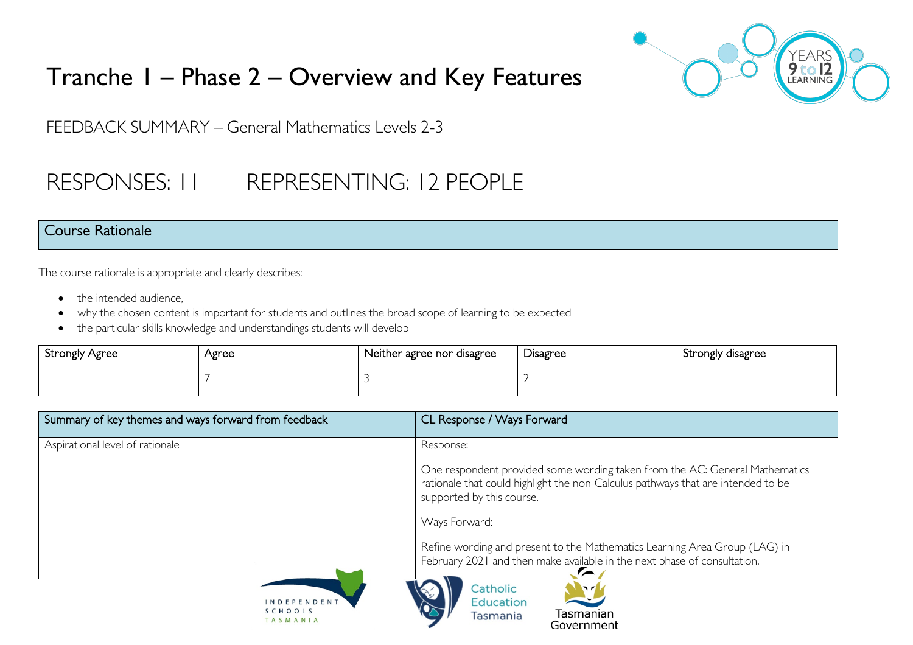

# Tranche 1 – Phase 2 – Overview and Key Features

FEEDBACK SUMMARY – General Mathematics Levels 2-3

# RESPONSES: 11 REPRESENTING: 12 PEOPLE

#### Course Rationale

The course rationale is appropriate and clearly describes:

- the intended audience.
- why the chosen content is important for students and outlines the broad scope of learning to be expected
- the particular skills knowledge and understandings students will develop

| Strongly Agree | Agree | Neither agree nor disagree | –<br><b>Disagree</b> | Strongly disagree |
|----------------|-------|----------------------------|----------------------|-------------------|
|                |       |                            |                      |                   |

| Summary of key themes and ways forward from feedback | CL Response / Ways Forward                                                                                                                                                                   |
|------------------------------------------------------|----------------------------------------------------------------------------------------------------------------------------------------------------------------------------------------------|
| Aspirational level of rationale                      | Response:                                                                                                                                                                                    |
|                                                      | One respondent provided some wording taken from the AC: General Mathematics<br>rationale that could highlight the non-Calculus pathways that are intended to be<br>supported by this course. |
|                                                      | Ways Forward:                                                                                                                                                                                |
|                                                      | Refine wording and present to the Mathematics Learning Area Group (LAG) in<br>February 2021 and then make available in the next phase of consultation.                                       |
| INDEPENDENT<br>SCHOOLS<br>TASMANIA                   | Catholic<br>$\mathbf{v}$<br><b>Education</b><br>Tasmanian<br>Tasmania                                                                                                                        |

Government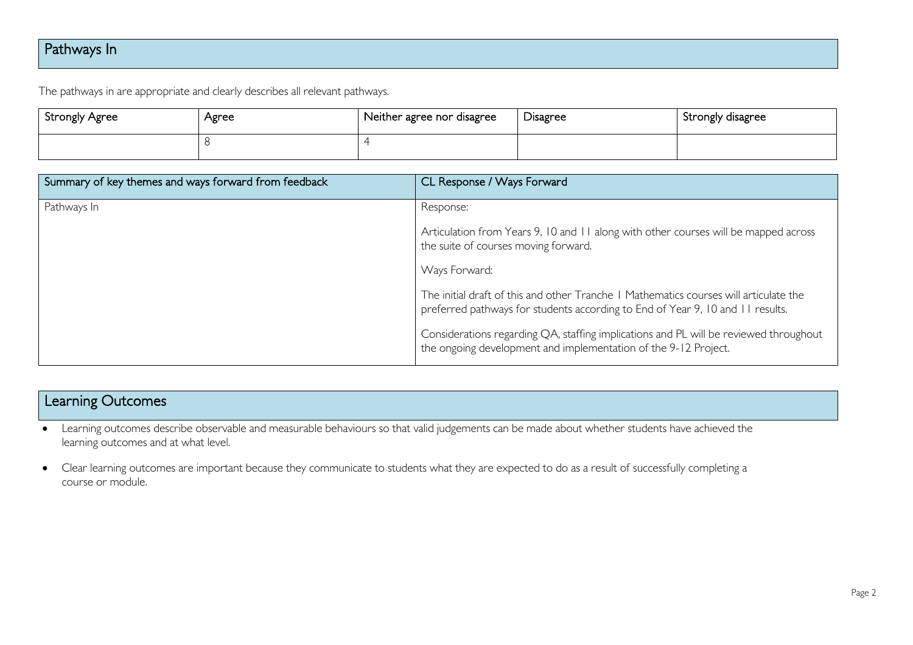## Pathways In

The pathways in are appropriate and clearly describes all relevant pathways.

| <b>Strongly Agree</b> | Agree | Neither agree nor disagree | Disagree | Strongly disagree |
|-----------------------|-------|----------------------------|----------|-------------------|
|                       |       |                            |          |                   |

| Summary of key themes and ways forward from feedback | CL Response / Ways Forward                                                                                                                                              |
|------------------------------------------------------|-------------------------------------------------------------------------------------------------------------------------------------------------------------------------|
| Pathways In                                          | Response:                                                                                                                                                               |
|                                                      | Articulation from Years 9, 10 and 11 along with other courses will be mapped across<br>the suite of courses moving forward.                                             |
|                                                      | Ways Forward:                                                                                                                                                           |
|                                                      | The initial draft of this and other Tranche   Mathematics courses will articulate the<br>preferred pathways for students according to End of Year 9, 10 and 11 results. |
|                                                      | Considerations regarding QA, staffing implications and PL will be reviewed throughout<br>the ongoing development and implementation of the 9-12 Project.                |

## Learning Outcomes

- Learning outcomes describe observable and measurable behaviours so that valid judgements can be made about whether students have achieved the learning outcomes and at what level.
- Clear learning outcomes are important because they communicate to students what they are expected to do as a result of successfully completing a course or module.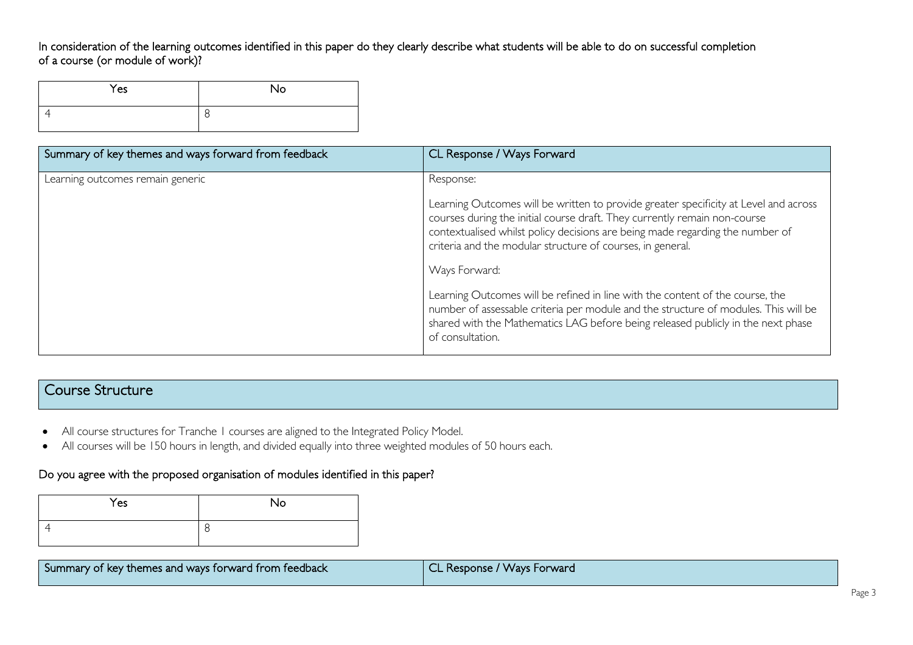#### In consideration of the learning outcomes identified in this paper do they clearly describe what students will be able to do on successful completion of a course (or module of work)?

| Yes | <b>No</b> |
|-----|-----------|
|     | ◡         |

| Summary of key themes and ways forward from feedback | CL Response / Ways Forward                                                                                                                                                                                                                                                                                       |
|------------------------------------------------------|------------------------------------------------------------------------------------------------------------------------------------------------------------------------------------------------------------------------------------------------------------------------------------------------------------------|
| Learning outcomes remain generic                     | Response:                                                                                                                                                                                                                                                                                                        |
|                                                      | Learning Outcomes will be written to provide greater specificity at Level and across<br>courses during the initial course draft. They currently remain non-course<br>contextualised whilst policy decisions are being made regarding the number of<br>criteria and the modular structure of courses, in general. |
|                                                      | Ways Forward:                                                                                                                                                                                                                                                                                                    |
|                                                      | Learning Outcomes will be refined in line with the content of the course, the<br>number of assessable criteria per module and the structure of modules. This will be<br>shared with the Mathematics LAG before being released publicly in the next phase<br>of consultation.                                     |

### Course Structure

- All course structures for Tranche 1 courses are aligned to the Integrated Policy Model.
- All courses will be 150 hours in length, and divided equally into three weighted modules of 50 hours each.

#### Do you agree with the proposed organisation of modules identified in this paper?

| Yes | No |
|-----|----|
|     | Õ  |

| teedback<br>:Summan<br>of key<br>u ways 1<br>nemes<br>ns and l<br>.rwarr<br>Inoin | $\sim$<br>Forward<br>ponse:<br><b>VVAVS</b><br>. |
|-----------------------------------------------------------------------------------|--------------------------------------------------|
|-----------------------------------------------------------------------------------|--------------------------------------------------|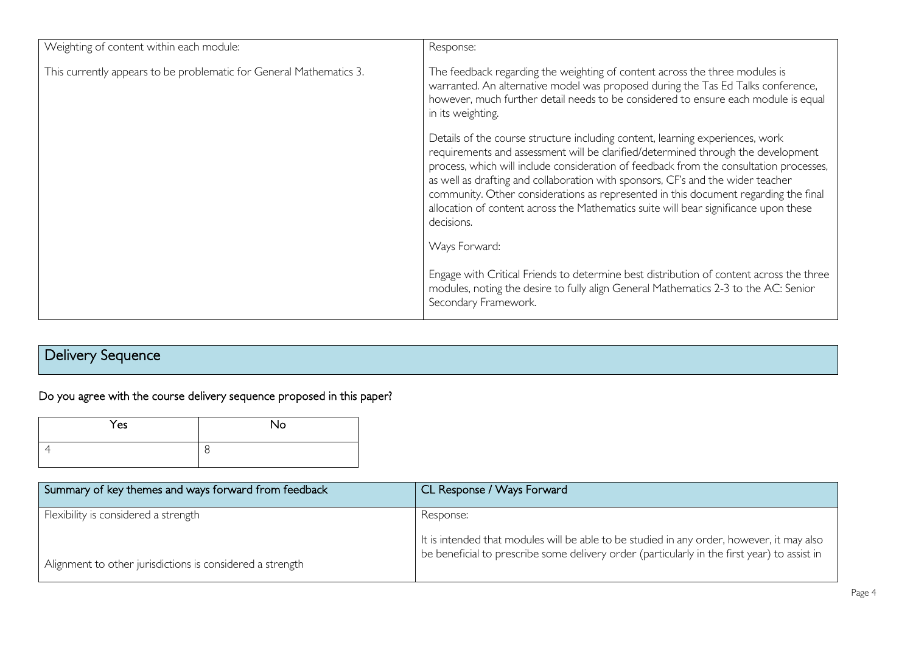| Weighting of content within each module:                            | Response:                                                                                                                                                                                                                                                                                                                                                                                                                                                                                                                                   |
|---------------------------------------------------------------------|---------------------------------------------------------------------------------------------------------------------------------------------------------------------------------------------------------------------------------------------------------------------------------------------------------------------------------------------------------------------------------------------------------------------------------------------------------------------------------------------------------------------------------------------|
| This currently appears to be problematic for General Mathematics 3. | The feedback regarding the weighting of content across the three modules is<br>warranted. An alternative model was proposed during the Tas Ed Talks conference,<br>however, much further detail needs to be considered to ensure each module is equal<br>in its weighting.                                                                                                                                                                                                                                                                  |
|                                                                     | Details of the course structure including content, learning experiences, work<br>requirements and assessment will be clarified/determined through the development<br>process, which will include consideration of feedback from the consultation processes,<br>as well as drafting and collaboration with sponsors, CF's and the wider teacher<br>community. Other considerations as represented in this document regarding the final<br>allocation of content across the Mathematics suite will bear significance upon these<br>decisions. |
|                                                                     | Ways Forward:                                                                                                                                                                                                                                                                                                                                                                                                                                                                                                                               |
|                                                                     | Engage with Critical Friends to determine best distribution of content across the three<br>modules, noting the desire to fully align General Mathematics 2-3 to the AC: Senior<br>Secondary Framework.                                                                                                                                                                                                                                                                                                                                      |

## Delivery Sequence

## Do you agree with the course delivery sequence proposed in this paper?

| Yes | No |
|-----|----|
|     | O  |

| Summary of key themes and ways forward from feedback      | CL Response / Ways Forward                                                                                                                                                                |
|-----------------------------------------------------------|-------------------------------------------------------------------------------------------------------------------------------------------------------------------------------------------|
| Flexibility is considered a strength                      | Response:                                                                                                                                                                                 |
|                                                           | It is intended that modules will be able to be studied in any order, however, it may also<br>be beneficial to prescribe some delivery order (particularly in the first year) to assist in |
| Alignment to other jurisdictions is considered a strength |                                                                                                                                                                                           |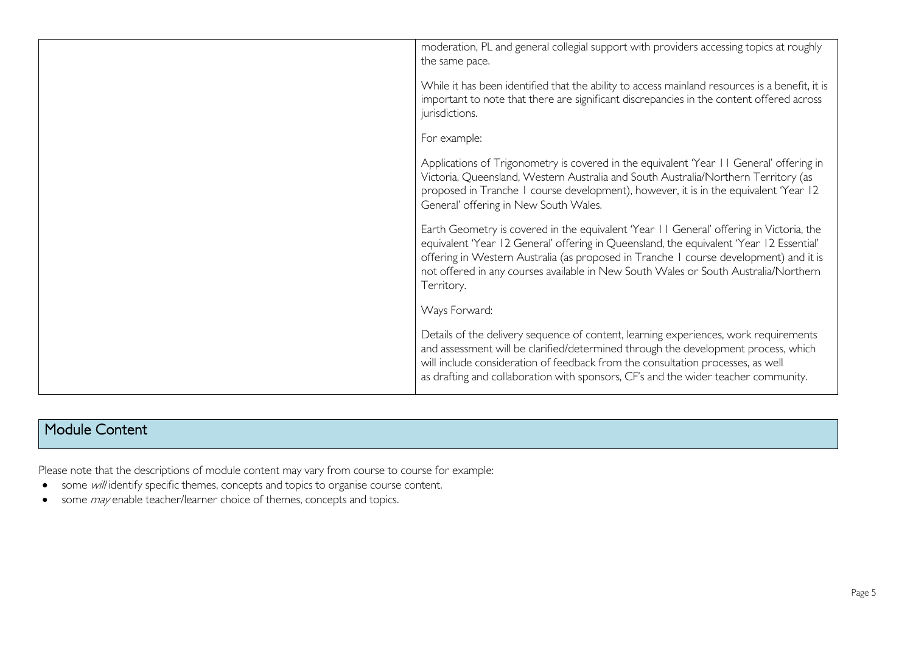| moderation, PL and general collegial support with providers accessing topics at roughly<br>the same pace.                                                                                                                                                                                                                                                                        |
|----------------------------------------------------------------------------------------------------------------------------------------------------------------------------------------------------------------------------------------------------------------------------------------------------------------------------------------------------------------------------------|
| While it has been identified that the ability to access mainland resources is a benefit, it is<br>important to note that there are significant discrepancies in the content offered across<br>jurisdictions.                                                                                                                                                                     |
| For example:                                                                                                                                                                                                                                                                                                                                                                     |
| Applications of Trigonometry is covered in the equivalent 'Year 11 General' offering in<br>Victoria, Queensland, Western Australia and South Australia/Northern Territory (as<br>proposed in Tranche I course development), however, it is in the equivalent 'Year 12<br>General' offering in New South Wales.                                                                   |
| Earth Geometry is covered in the equivalent 'Year 11 General' offering in Victoria, the<br>equivalent 'Year 12 General' offering in Queensland, the equivalent 'Year 12 Essential'<br>offering in Western Australia (as proposed in Tranche I course development) and it is<br>not offered in any courses available in New South Wales or South Australia/Northern<br>Territory. |
| Ways Forward:                                                                                                                                                                                                                                                                                                                                                                    |
| Details of the delivery sequence of content, learning experiences, work requirements<br>and assessment will be clarified/determined through the development process, which<br>will include consideration of feedback from the consultation processes, as well<br>as drafting and collaboration with sponsors, CF's and the wider teacher community.                              |
|                                                                                                                                                                                                                                                                                                                                                                                  |

### Module Content

Please note that the descriptions of module content may vary from course to course for example:

- some will identify specific themes, concepts and topics to organise course content.
- some *may* enable teacher/learner choice of themes, concepts and topics.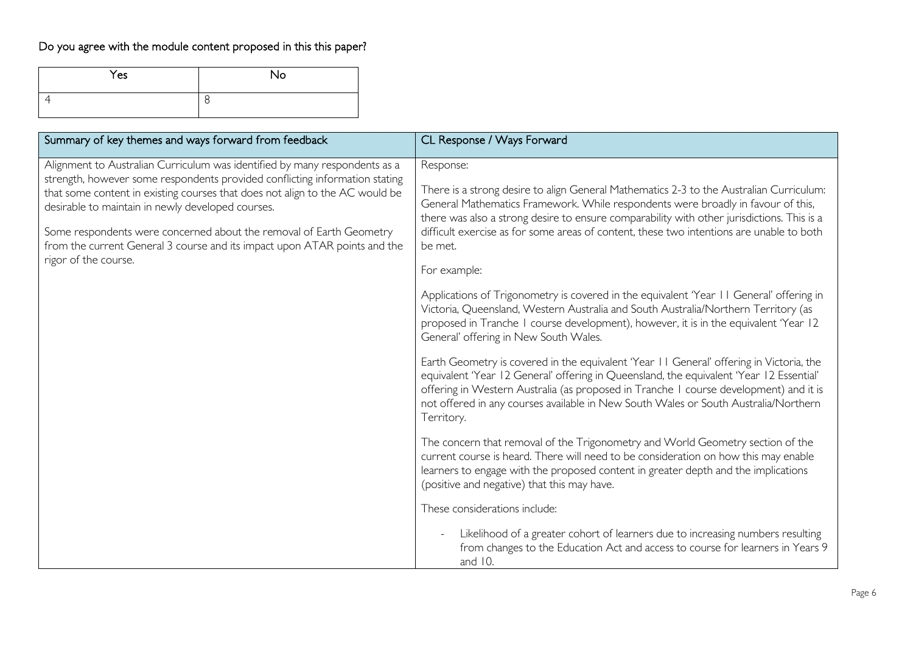## Do you agree with the module content proposed in this this paper?

| Yes | No |
|-----|----|
|     | C  |

| Summary of key themes and ways forward from feedback                                                                                                                                                                                                                                                                                                                                                                                                                       | CL Response / Ways Forward                                                                                                                                                                                                                                                                                                                                                                                    |
|----------------------------------------------------------------------------------------------------------------------------------------------------------------------------------------------------------------------------------------------------------------------------------------------------------------------------------------------------------------------------------------------------------------------------------------------------------------------------|---------------------------------------------------------------------------------------------------------------------------------------------------------------------------------------------------------------------------------------------------------------------------------------------------------------------------------------------------------------------------------------------------------------|
| Alignment to Australian Curriculum was identified by many respondents as a<br>strength, however some respondents provided conflicting information stating<br>that some content in existing courses that does not align to the AC would be<br>desirable to maintain in newly developed courses.<br>Some respondents were concerned about the removal of Earth Geometry<br>from the current General 3 course and its impact upon ATAR points and the<br>rigor of the course. | Response:<br>There is a strong desire to align General Mathematics 2-3 to the Australian Curriculum:<br>General Mathematics Framework. While respondents were broadly in favour of this,<br>there was also a strong desire to ensure comparability with other jurisdictions. This is a<br>difficult exercise as for some areas of content, these two intentions are unable to both<br>be met.<br>For example: |
|                                                                                                                                                                                                                                                                                                                                                                                                                                                                            | Applications of Trigonometry is covered in the equivalent 'Year 11 General' offering in<br>Victoria, Queensland, Western Australia and South Australia/Northern Territory (as<br>proposed in Tranche I course development), however, it is in the equivalent 'Year 12<br>General' offering in New South Wales.                                                                                                |
|                                                                                                                                                                                                                                                                                                                                                                                                                                                                            | Earth Geometry is covered in the equivalent 'Year 11 General' offering in Victoria, the<br>equivalent 'Year 12 General' offering in Queensland, the equivalent 'Year 12 Essential'<br>offering in Western Australia (as proposed in Tranche I course development) and it is<br>not offered in any courses available in New South Wales or South Australia/Northern<br>Territory.                              |
|                                                                                                                                                                                                                                                                                                                                                                                                                                                                            | The concern that removal of the Trigonometry and World Geometry section of the<br>current course is heard. There will need to be consideration on how this may enable<br>learners to engage with the proposed content in greater depth and the implications<br>(positive and negative) that this may have.                                                                                                    |
|                                                                                                                                                                                                                                                                                                                                                                                                                                                                            | These considerations include:<br>Likelihood of a greater cohort of learners due to increasing numbers resulting<br>from changes to the Education Act and access to course for learners in Years 9                                                                                                                                                                                                             |
|                                                                                                                                                                                                                                                                                                                                                                                                                                                                            | and 10.                                                                                                                                                                                                                                                                                                                                                                                                       |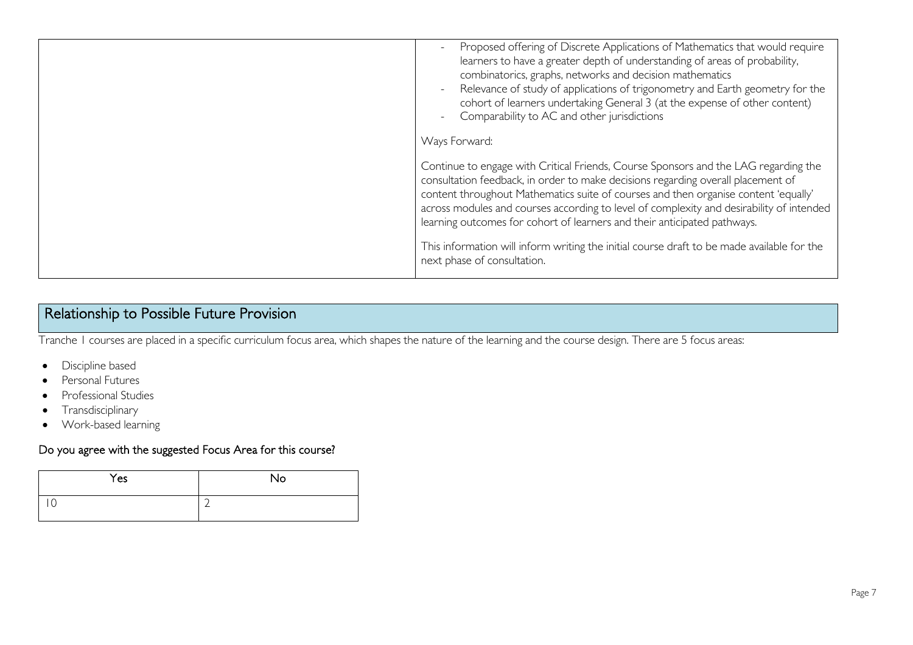| Proposed offering of Discrete Applications of Mathematics that would require<br>$\overline{\phantom{a}}$<br>learners to have a greater depth of understanding of areas of probability,<br>combinatorics, graphs, networks and decision mathematics<br>Relevance of study of applications of trigonometry and Earth geometry for the<br>$\overline{\phantom{a}}$<br>cohort of learners undertaking General 3 (at the expense of other content)<br>Comparability to AC and other jurisdictions<br>Ways Forward: |
|---------------------------------------------------------------------------------------------------------------------------------------------------------------------------------------------------------------------------------------------------------------------------------------------------------------------------------------------------------------------------------------------------------------------------------------------------------------------------------------------------------------|
| Continue to engage with Critical Friends, Course Sponsors and the LAG regarding the<br>consultation feedback, in order to make decisions regarding overall placement of<br>content throughout Mathematics suite of courses and then organise content 'equally'                                                                                                                                                                                                                                                |
| across modules and courses according to level of complexity and desirability of intended<br>learning outcomes for cohort of learners and their anticipated pathways.                                                                                                                                                                                                                                                                                                                                          |
| This information will inform writing the initial course draft to be made available for the<br>next phase of consultation.                                                                                                                                                                                                                                                                                                                                                                                     |

## Relationship to Possible Future Provision

Tranche 1 courses are placed in a specific curriculum focus area, which shapes the nature of the learning and the course design. There are 5 focus areas:

- Discipline based
- Personal Futures
- Professional Studies
- Transdisciplinary
- Work-based learning

#### Do you agree with the suggested Focus Area for this course?

| Yes | No                       |
|-----|--------------------------|
|     | $\overline{\phantom{0}}$ |